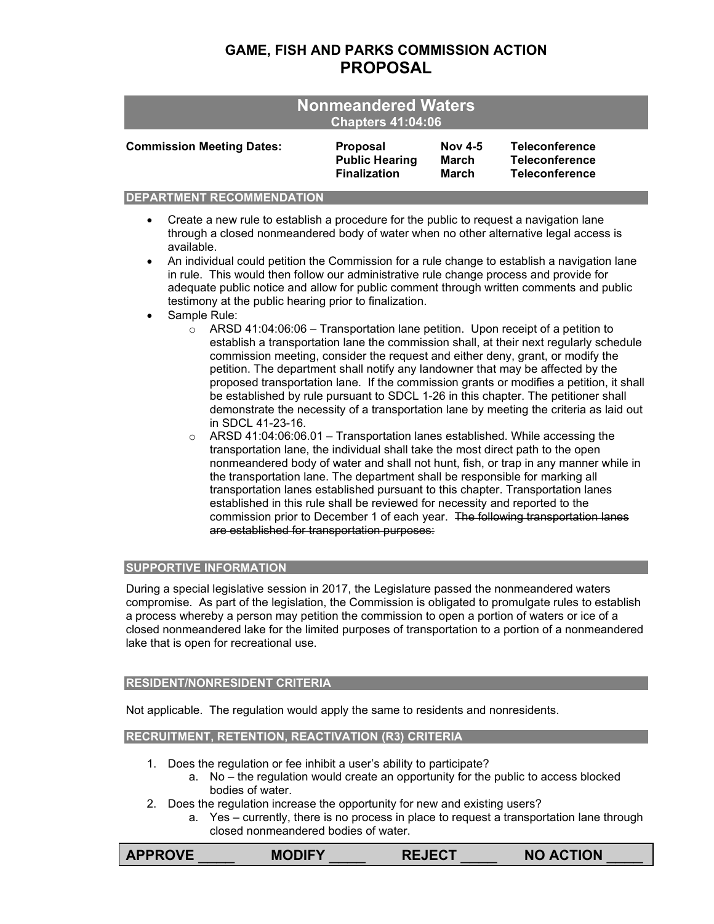# **GAME, FISH AND PARKS COMMISSION ACTION PROPOSAL**

| <b>Nonmeandered Waters</b><br><b>Chapters 41:04:06</b> |                       |                |                       |  |  |
|--------------------------------------------------------|-----------------------|----------------|-----------------------|--|--|
| <b>Commission Meeting Dates:</b>                       | <b>Proposal</b>       | <b>Nov 4-5</b> | <b>Teleconference</b> |  |  |
|                                                        | <b>Public Hearing</b> | March          | <b>Teleconference</b> |  |  |
|                                                        | <b>Finalization</b>   | <b>March</b>   | <b>Teleconference</b> |  |  |

### **DEPARTMENT RECOMMENDATION**

- Create a new rule to establish a procedure for the public to request a navigation lane through a closed nonmeandered body of water when no other alternative legal access is available.
- An individual could petition the Commission for a rule change to establish a navigation lane in rule. This would then follow our administrative rule change process and provide for adequate public notice and allow for public comment through written comments and public testimony at the public hearing prior to finalization.
- Sample Rule:
	- $\circ$  ARSD 41:04:06:06 Transportation lane petition. Upon receipt of a petition to establish a transportation lane the commission shall, at their next regularly schedule commission meeting, consider the request and either deny, grant, or modify the petition. The department shall notify any landowner that may be affected by the proposed transportation lane. If the commission grants or modifies a petition, it shall be established by rule pursuant to SDCL 1-26 in this chapter. The petitioner shall demonstrate the necessity of a transportation lane by meeting the criteria as laid out in SDCL 41-23-16.
	- ARSD 41:04:06:06.01 Transportation lanes established. While accessing the transportation lane, the individual shall take the most direct path to the open nonmeandered body of water and shall not hunt, fish, or trap in any manner while in the transportation lane. The department shall be responsible for marking all transportation lanes established pursuant to this chapter. Transportation lanes established in this rule shall be reviewed for necessity and reported to the commission prior to December 1 of each year. The following transportation lanes are established for transportation purposes:

## **SUPPORTIVE INFORMATION**

During a special legislative session in 2017, the Legislature passed the nonmeandered waters compromise. As part of the legislation, the Commission is obligated to promulgate rules to establish a process whereby a person may petition the commission to open a portion of waters or ice of a closed nonmeandered lake for the limited purposes of transportation to a portion of a nonmeandered lake that is open for recreational use.

## **RESIDENT/NONRESIDENT CRITERIA**

Not applicable. The regulation would apply the same to residents and nonresidents.

## **RECRUITMENT, RETENTION, REACTIVATION (R3) CRITERIA**

- 1. Does the regulation or fee inhibit a user's ability to participate?
	- a. No the regulation would create an opportunity for the public to access blocked bodies of water.
- 2. Does the regulation increase the opportunity for new and existing users?
	- a. Yes currently, there is no process in place to request a transportation lane through closed nonmeandered bodies of water.

**APPROVE** \_\_\_\_ **MODIFY** \_\_\_\_ **REJECT** \_\_\_\_ **NO ACTION** \_\_\_\_